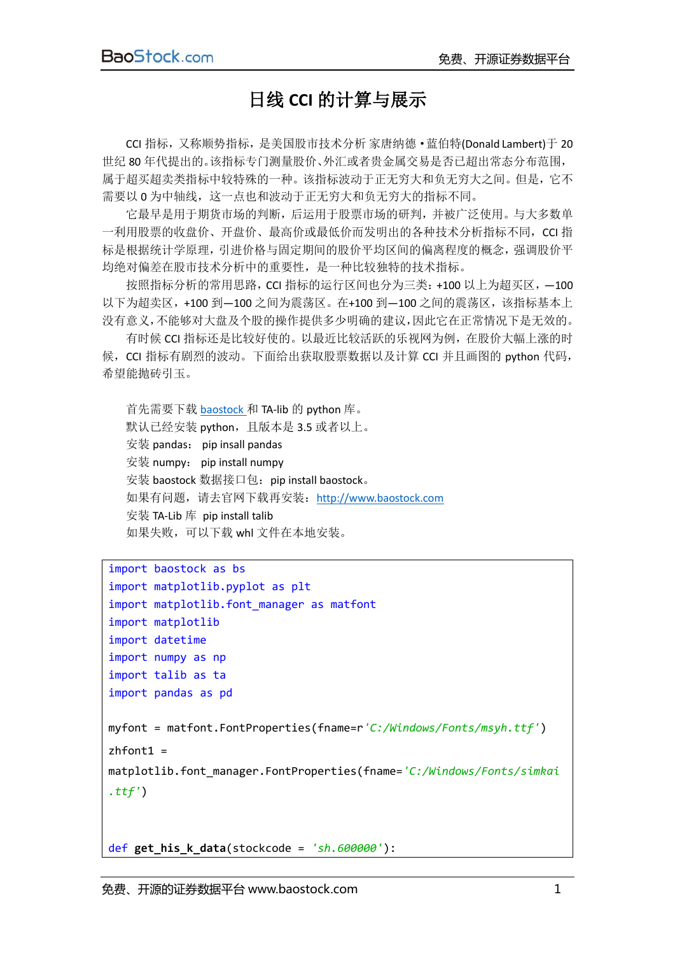## 日线 **CCI** 的计算与展示

CCI 指标,又称顺势指标,是美国股市技术分析 家唐纳德·蓝伯特(Donald Lambert)于 20 世纪 80 年代提出的。该指标专门测量股价、外汇或者贵金属交易是否已超出常态分布范围, 属于超买超卖类指标中较特殊的一种。该指标波动于正无穷大和负无穷大之间。但是,它不 需要以 0 为中轴线,这一点也和波动于正无穷大和负无穷大的指标不同。

它最早是用于期货市场的判断,后运用于股票市场的研判,并被广泛使用。与大多数单 一利用股票的收盘价、开盘价、最高价或最低价而发明出的各种技术分析指标不同,CCI 指 标是根据统计学原理,引进价格与固定期间的股价平均区间的偏离程度的概念,强调股价平 均绝对偏差在股市技术分析中的重要性,是一种比较独特的技术指标。

按照指标分析的常用思路,CCI 指标的运行区间也分为三类:+100 以上为超买区,—100 以下为超卖区,+100 到—100 之间为震荡区。在+100 到—100 之间的震荡区,该指标基本上 没有意义,不能够对大盘及个股的操作提供多少明确的建议,因此它在正常情况下是无效的。

有时候 CCI 指标还是比较好使的。以最近比较活跃的乐视网为例,在股价大幅上涨的时 候,CCI 指标有剧烈的波动。下面给出获取股票数据以及计算 CCI 并且画图的 python 代码, 希望能抛砖引玉。

首先需要下载 [baostock](http://www.baostock.com/) 和 TA-lib 的 python 库。 默认已经安装 python, 且版本是 3.5 或者以上。 安装 pandas: pip insall pandas 安装 numpy: pip install numpy 安装 baostock 数据接口包: pip install baostock。 如果有问题,请去官网下载再安装: [http://www.baostock.com](http://www.baostock.com/) 安装 TA-Lib 库 pip install talib 如果失败,可以下载 whl 文件在本地安装。

```
import baostock as bs
import matplotlib.pyplot as plt
import matplotlib.font_manager as matfont
import matplotlib 
import datetime
import numpy as np
import talib as ta
import pandas as pd
myfont = matfont.FontProperties(fname=r'C:/Windows/Fonts/msyh.ttf')
zhfont1 =
matplotlib.font_manager.FontProperties(fname='C:/Windows/Fonts/simkai
.ttf')
```
def **get\_his\_k\_data**(stockcode = *'sh.600000'*):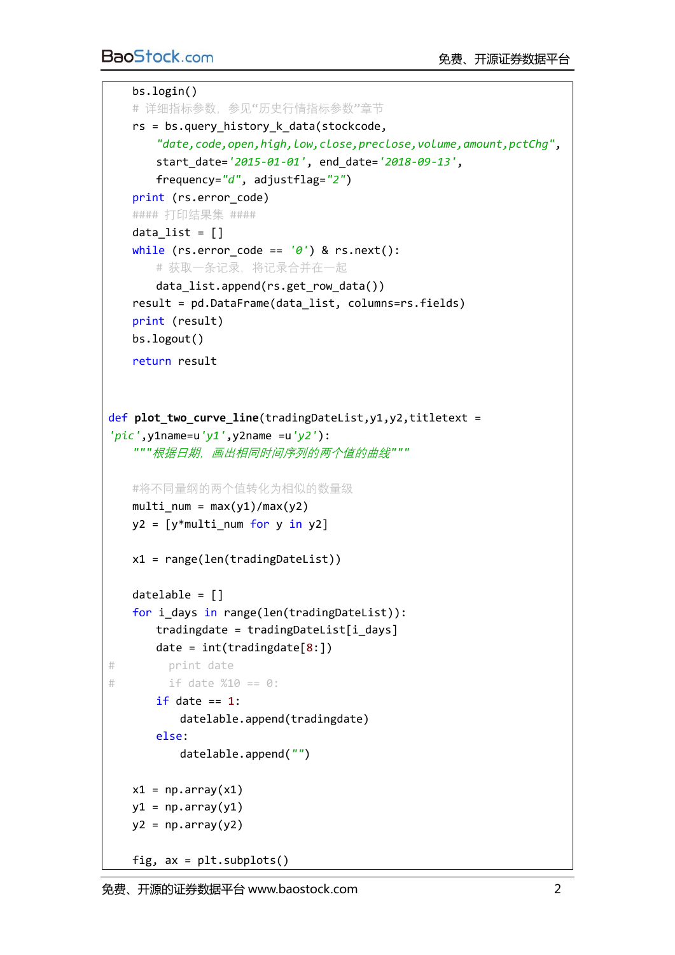## BaoStock.com およびの またに またに 食费、开源证券数据平台

```
 bs.login()
   # 详细指标参数, 参见"历史行情指标参数"章节
   rs = bs.query history k data(stockcode,
        "date,code,open,high,low,close,preclose,volume,amount,pctChg",
       start_date='2015-01-01', end_date='2018-09-13', 
       frequency="d", adjustflag="2")
    print (rs.error_code)
    #### 打印结果集 ####
   data list = [] while (rs.error_code == '0') & rs.next():
       # 获取一条记录,将记录合并在一起
       data_list.append(rs.get_row_data())
    result = pd.DataFrame(data_list, columns=rs.fields)
    print (result)
    bs.logout()
    return result
def plot two curve line(tradingDateList,y1,y2,titletext =
'pic',y1name=u'y1',y2name =u'y2'):
    """根据日期,画出相同时间序列的两个值的曲线"""
    #将不同量纲的两个值转化为相似的数量级
   multi num = max(y1)/max(y2)y2 = \lfloor y^* \text{multi num} for y in y2]
    x1 = range(len(tradingDateList))
    datelable = []
    for i_days in range(len(tradingDateList)):
       tradingdate = tradingDateList[i_days]
      date = int(traingdate[8:])# print date
# if date %10 == 0:
      if date == 1:
           datelable.append(tradingdate)
       else:
           datelable.append("")
   x1 = np.array(x1)y1 = np.array(y1)y2 = np.array(y2)fig, ax = plt.subplots()
```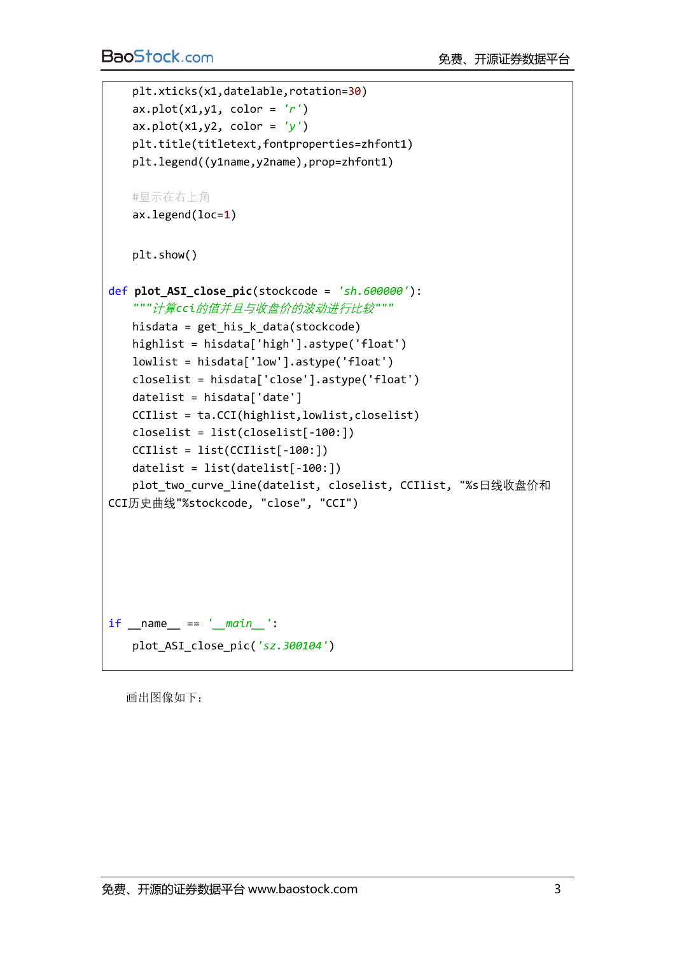```
 plt.xticks(x1,datelable,rotation=30)
   ax.plot(x1,y1, color = 'r')ax.plot(x1,y2, color = 'y')
    plt.title(titletext,fontproperties=zhfont1)
    plt.legend((y1name,y2name),prop=zhfont1)
    #显示在右上角
    ax.legend(loc=1)
    plt.show()
def plot_ASI_close_pic(stockcode = 'sh.600000'):
   """计算cci的值并且与收盘价的波动进行比较"""
    hisdata = get_his_k_data(stockcode)
    highlist = hisdata['high'].astype('float')
    lowlist = hisdata['low'].astype('float')
    closelist = hisdata['close'].astype('float')
   data['date'] CCIlist = ta.CCI(highlist,lowlist,closelist)
    closelist = list(closelist[-100:])
    CCIlist = list(CCIlist[-100:])
    datelist = list(datelist[-100:])
    plot_two_curve_line(datelist, closelist, CCIlist, "%s日线收盘价和
CCI历史曲线"%stockcode, "close", "CCI")
if __name__ == '__main__':
    plot_ASI_close_pic('sz.300104')
```
画出图像如下: